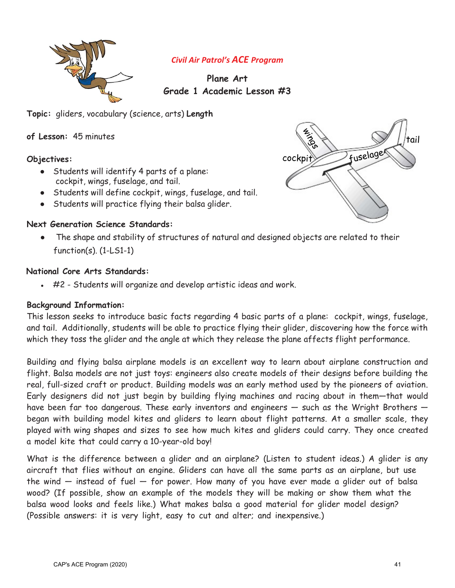

# *Civil Air Patrol's ACE Program*

# **Plane Art Grade 1 Academic Lesson #3**

**Topic:** gliders, vocabulary (science, arts) **Length** 

**of Lesson:** 45 minutes

#### **Objectives:**

- Students will identify 4 parts of a plane: cockpit, wings, fuselage, and tail.
- Students will define cockpit, wings, fuselage, and tail.
- Students will practice flying their balsa glider.

#### **Next Generation Science Standards:**

The shape and stability of structures of natural and designed objects are related to their function(s). (1-LS1-1)

#### **National Core Arts Standards:**

 $\cdot$  #2 - Students will organize and develop artistic ideas and work.

#### **Background Information:**

This lesson seeks to introduce basic facts regarding 4 basic parts of a plane: cockpit, wings, fuselage, and tail. Additionally, students will be able to practice flying their glider, discovering how the force with which they toss the glider and the angle at which they release the plane affects flight performance.

Building and flying balsa airplane models is an excellent way to learn about airplane construction and flight. Balsa models are not just toys: engineers also create models of their designs before building the real, full-sized craft or product. Building models was an early method used by the pioneers of aviation. Early designers did not just begin by building flying machines and racing about in them—that would have been far too dangerous. These early inventors and engineers — such as the Wright Brothers began with building model kites and gliders to learn about flight patterns. At a smaller scale, they played with wing shapes and sizes to see how much kites and gliders could carry. They once created a model kite that could carry a 10-year-old boy!

What is the difference between a glider and an airplane? (Listen to student ideas.) A glider is any aircraft that flies without an engine. Gliders can have all the same parts as an airplane, but use the wind  $-$  instead of fuel  $-$  for power. How many of you have ever made a glider out of balsa wood? (If possible, show an example of the models they will be making or show them what the balsa wood looks and feels like.) What makes balsa a good material for glider model design? (Possible answers: it is very light, easy to cut and alter; and inexpensive.)

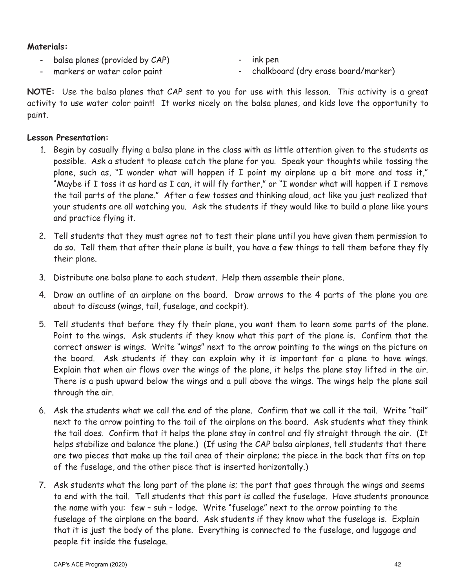#### **Materials:**

- balsa planes (provided by CAP)

- ink pen

- markers or water color paint

- chalkboard (dry erase board/marker)

**NOTE:** Use the balsa planes that CAP sent to you for use with this lesson. This activity is a great activity to use water color paint! It works nicely on the balsa planes, and kids love the opportunity to paint.

### **Lesson Presentation:**

- 1. Begin by casually flying a balsa plane in the class with as little attention given to the students as possible. Ask a student to please catch the plane for you. Speak your thoughts while tossing the plane, such as, "I wonder what will happen if I point my airplane up a bit more and toss it," "Maybe if I toss it as hard as I can, it will fly farther," or "I wonder what will happen if I remove the tail parts of the plane." After a few tosses and thinking aloud, act like you just realized that your students are all watching you. Ask the students if they would like to build a plane like yours and practice flying it.
- 2. Tell students that they must agree not to test their plane until you have given them permission to do so. Tell them that after their plane is built, you have a few things to tell them before they fly their plane.
- 3. Distribute one balsa plane to each student. Help them assemble their plane.
- 4. Draw an outline of an airplane on the board. Draw arrows to the 4 parts of the plane you are about to discuss (wings, tail, fuselage, and cockpit).
- 5. Tell students that before they fly their plane, you want them to learn some parts of the plane. Point to the wings. Ask students if they know what this part of the plane is. Confirm that the correct answer is wings. Write "wings" next to the arrow pointing to the wings on the picture on the board. Ask students if they can explain why it is important for a plane to have wings. Explain that when air flows over the wings of the plane, it helps the plane stay lifted in the air. There is a push upward below the wings and a pull above the wings. The wings help the plane sail through the air.
- 6. Ask the students what we call the end of the plane. Confirm that we call it the tail. Write "tail" next to the arrow pointing to the tail of the airplane on the board. Ask students what they think the tail does. Confirm that it helps the plane stay in control and fly straight through the air. (It helps stabilize and balance the plane.) (If using the CAP balsa airplanes, tell students that there are two pieces that make up the tail area of their airplane; the piece in the back that fits on top of the fuselage, and the other piece that is inserted horizontally.)
- 7. Ask students what the long part of the plane is; the part that goes through the wings and seems to end with the tail. Tell students that this part is called the fuselage. Have students pronounce the name with you: few – suh – lodge. Write "fuselage" next to the arrow pointing to the fuselage of the airplane on the board. Ask students if they know what the fuselage is. Explain that it is just the body of the plane. Everything is connected to the fuselage, and luggage and people fit inside the fuselage.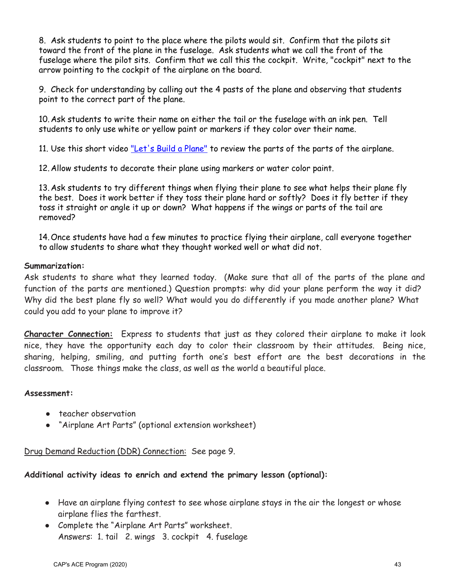8. Ask students to point to the place where the pilots would sit. Confirm that the pilots sit toward the front of the plane in the fuselage. Ask students what we call the front of the fuselage where the pilot sits. Confirm that we call this the cockpit. Write, "cockpit" next to the arrow pointing to the cockpit of the airplane on the board.

9. Check for understanding by calling out the 4 pasts of the plane and observing that students point to the correct part of the plane.

10. Ask students to write their name on either the tail or the fuselage with an ink pen. Tell students to only use white or yellow paint or markers if they color over their name.

11. Use this short video ["Let's Build a Plane"](https://youtu.be/rD602zNMzI4) to review the parts of the parts of the airplane.

12. Allow students to decorate their plane using markers or water color paint.

13. Ask students to try different things when flying their plane to see what helps their plane fly the best. Does it work better if they toss their plane hard or softly? Does it fly better if they toss it straight or angle it up or down? What happens if the wings or parts of the tail are removed?

14.Once students have had a few minutes to practice flying their airplane, call everyone together to allow students to share what they thought worked well or what did not.

## **Summarization:**

Ask students to share what they learned today. (Make sure that all of the parts of the plane and function of the parts are mentioned.) Question prompts: why did your plane perform the way it did? Why did the best plane fly so well? What would you do differently if you made another plane? What could you add to your plane to improve it?

**Character Connection:** Express to students that just as they colored their airplane to make it look nice, they have the opportunity each day to color their classroom by their attitudes. Being nice, sharing, helping, smiling, and putting forth one's best effort are the best decorations in the classroom. Those things make the class, as well as the world a beautiful place.

#### **Assessment:**

- teacher observation
- "Airplane Art Parts" (optional extension worksheet)

Drug Demand Reduction (DDR) Connection: See page 9.

**Additional activity ideas to enrich and extend the primary lesson (optional):**

- Have an airplane flying contest to see whose airplane stays in the air the longest or whose airplane flies the farthest.
- Complete the "Airplane Art Parts" worksheet. Answers: 1. tail 2. wings 3. cockpit 4. fuselage